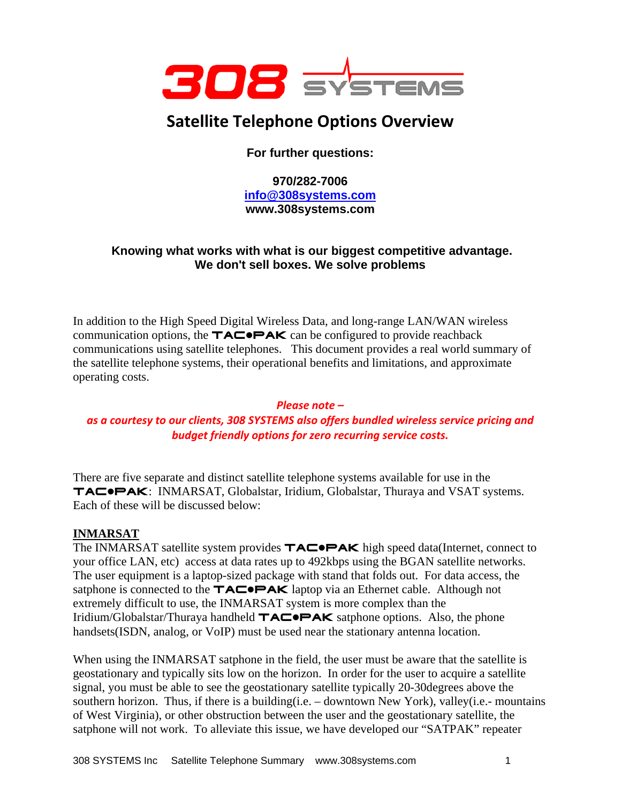

# **Satellite Telephone Options Overview**

**For further questions:** 

**970/282-7006 info@308systems.com www.308systems.com** 

## **Knowing what works with what is our biggest competitive advantage. We don't sell boxes. We solve problems**

In addition to the High Speed Digital Wireless Data, and long-range LAN/WAN wireless communication options, the  $TAC^{\bullet}PAK$  can be configured to provide reachback communications using satellite telephones. This document provides a real world summary of the satellite telephone systems, their operational benefits and limitations, and approximate operating costs.

#### *Please note –*

## *as a courtesy to our clients, 308 SYSTEMS also offers bundled wireless service pricing and budget friendly options for zero recurring service costs.*

There are five separate and distinct satellite telephone systems available for use in the TACOPAK: INMARSAT, Globalstar, Iridium, Globalstar, Thuraya and VSAT systems. Each of these will be discussed below:

## **INMARSAT**

The INMARSAT satellite system provides  $\mathbf{TAC} \bullet \mathbf{PAK}$  high speed data(Internet, connect to your office LAN, etc) access at data rates up to 492kbps using the BGAN satellite networks. The user equipment is a laptop-sized package with stand that folds out. For data access, the satphone is connected to the  $TAC\rightarrow AK$  laptop via an Ethernet cable. Although not extremely difficult to use, the INMARSAT system is more complex than the Iridium/Globalstar/Thuraya handheld  $TACOPAK$  satphone options. Also, the phone handsets(ISDN, analog, or VoIP) must be used near the stationary antenna location.

When using the INMARSAT satphone in the field, the user must be aware that the satellite is geostationary and typically sits low on the horizon. In order for the user to acquire a satellite signal, you must be able to see the geostationary satellite typically 20-30degrees above the southern horizon. Thus, if there is a building(i.e.  $-$  downtown New York), valley(i.e.- mountains of West Virginia), or other obstruction between the user and the geostationary satellite, the satphone will not work. To alleviate this issue, we have developed our "SATPAK" repeater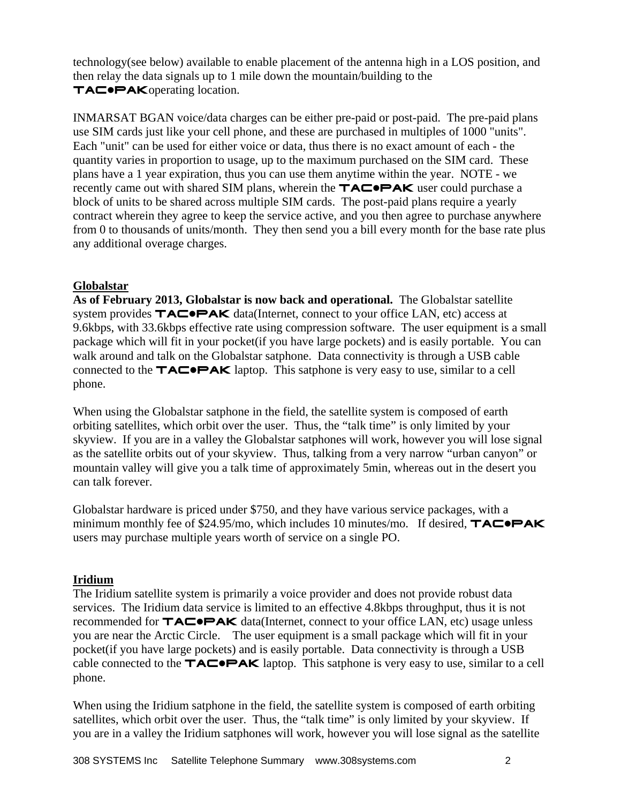technology(see below) available to enable placement of the antenna high in a LOS position, and then relay the data signals up to 1 mile down the mountain/building to the TACPAKoperating location.

INMARSAT BGAN voice/data charges can be either pre-paid or post-paid. The pre-paid plans use SIM cards just like your cell phone, and these are purchased in multiples of 1000 "units". Each "unit" can be used for either voice or data, thus there is no exact amount of each - the quantity varies in proportion to usage, up to the maximum purchased on the SIM card. These plans have a 1 year expiration, thus you can use them anytime within the year. NOTE - we recently came out with shared SIM plans, wherein the  $TAC\rightarrow AK$  user could purchase a block of units to be shared across multiple SIM cards. The post-paid plans require a yearly contract wherein they agree to keep the service active, and you then agree to purchase anywhere from 0 to thousands of units/month. They then send you a bill every month for the base rate plus any additional overage charges.

#### **Globalstar**

**As of February 2013, Globalstar is now back and operational.** The Globalstar satellite system provides  $TAC^{\bullet}PAK$  data(Internet, connect to your office LAN, etc) access at 9.6kbps, with 33.6kbps effective rate using compression software. The user equipment is a small package which will fit in your pocket(if you have large pockets) and is easily portable. You can walk around and talk on the Globalstar satphone. Data connectivity is through a USB cable connected to the  $TAC\rightarrow AK$  laptop. This satphone is very easy to use, similar to a cell phone.

When using the Globalstar satphone in the field, the satellite system is composed of earth orbiting satellites, which orbit over the user. Thus, the "talk time" is only limited by your skyview. If you are in a valley the Globalstar satphones will work, however you will lose signal as the satellite orbits out of your skyview. Thus, talking from a very narrow "urban canyon" or mountain valley will give you a talk time of approximately 5min, whereas out in the desert you can talk forever.

Globalstar hardware is priced under \$750, and they have various service packages, with a minimum monthly fee of \$24.95/mo, which includes 10 minutes/mo. If desired,  $\mathbf{TAC} \bullet \mathbf{PAK}$ users may purchase multiple years worth of service on a single PO.

## **Iridium**

The Iridium satellite system is primarily a voice provider and does not provide robust data services. The Iridium data service is limited to an effective 4.8kbps throughput, thus it is not recommended for  $TAC\blacktriangleright$  **PAK** data(Internet, connect to your office LAN, etc) usage unlessyou are near the Arctic Circle. The user equipment is a small package which will fit in your pocket(if you have large pockets) and is easily portable. Data connectivity is through a USB cable connected to the  $TAC\rightarrow AK$  laptop. This satphone is very easy to use, similar to a cell phone.

When using the Iridium satphone in the field, the satellite system is composed of earth orbiting satellites, which orbit over the user. Thus, the "talk time" is only limited by your skyview. If you are in a valley the Iridium satphones will work, however you will lose signal as the satellite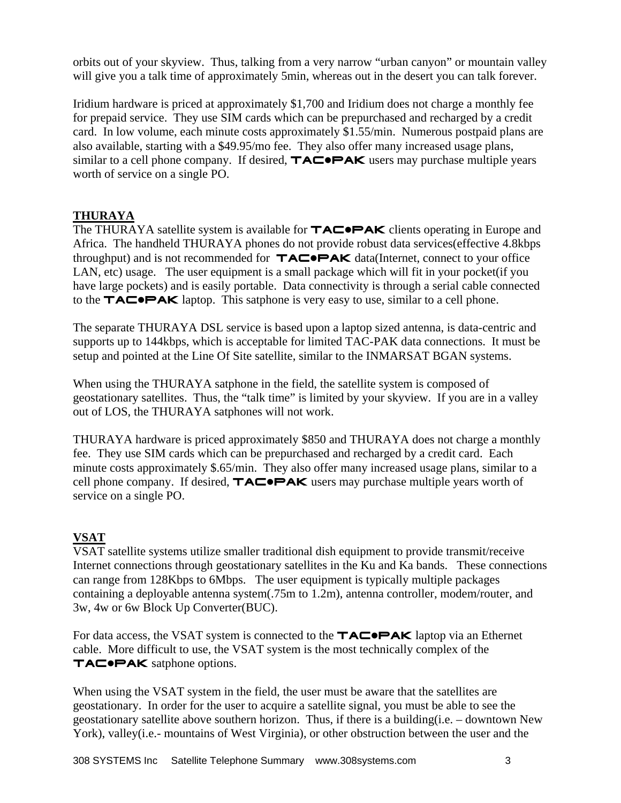orbits out of your skyview. Thus, talking from a very narrow "urban canyon" or mountain valley will give you a talk time of approximately 5min, whereas out in the desert you can talk forever.

Iridium hardware is priced at approximately \$1,700 and Iridium does not charge a monthly fee for prepaid service. They use SIM cards which can be prepurchased and recharged by a credit card. In low volume, each minute costs approximately \$1.55/min. Numerous postpaid plans are also available, starting with a \$49.95/mo fee. They also offer many increased usage plans, similar to a cell phone company. If desired,  $\mathsf{TAC}\rightarrow\mathsf{PAK}$  users may purchase multiple years worth of service on a single PO.

## **THURAYA**

The THURAYA satellite system is available for  $TAC^{\bullet}PAK$  clients operating in Europe and Africa. The handheld THURAYA phones do not provide robust data services(effective 4.8kbps throughput) and is not recommended for  $TAC\rightarrow AK$  data(Internet, connect to your office LAN, etc) usage. The user equipment is a small package which will fit in your pocket (if you have large pockets) and is easily portable. Data connectivity is through a serial cable connected to the  $TAC^{\bullet}PAK$  laptop. This satphone is very easy to use, similar to a cell phone.

The separate THURAYA DSL service is based upon a laptop sized antenna, is data-centric and supports up to 144kbps, which is acceptable for limited TAC-PAK data connections. It must be setup and pointed at the Line Of Site satellite, similar to the INMARSAT BGAN systems.

When using the THURAYA satphone in the field, the satellite system is composed of geostationary satellites. Thus, the "talk time" is limited by your skyview. If you are in a valley out of LOS, the THURAYA satphones will not work.

THURAYA hardware is priced approximately \$850 and THURAYA does not charge a monthly fee. They use SIM cards which can be prepurchased and recharged by a credit card. Each minute costs approximately \$.65/min. They also offer many increased usage plans, similar to a cell phone company. If desired,  $TAC^{\bullet}PAK$  users may purchase multiple years worth of service on a single PO.

# **VSAT**

VSAT satellite systems utilize smaller traditional dish equipment to provide transmit/receive Internet connections through geostationary satellites in the Ku and Ka bands. These connections can range from 128Kbps to 6Mbps. The user equipment is typically multiple packages containing a deployable antenna system(.75m to 1.2m), antenna controller, modem/router, and 3w, 4w or 6w Block Up Converter(BUC).

For data access, the VSAT system is connected to the  $\mathsf{TAC}\rightarrow\mathsf{PAK}$  laptop via an Ethernet cable. More difficult to use, the VSAT system is the most technically complex of the TAC<sup>O</sup>PAK satphone options.

When using the VSAT system in the field, the user must be aware that the satellites are geostationary. In order for the user to acquire a satellite signal, you must be able to see the geostationary satellite above southern horizon. Thus, if there is a building(i.e. – downtown New York), valley(i.e.- mountains of West Virginia), or other obstruction between the user and the